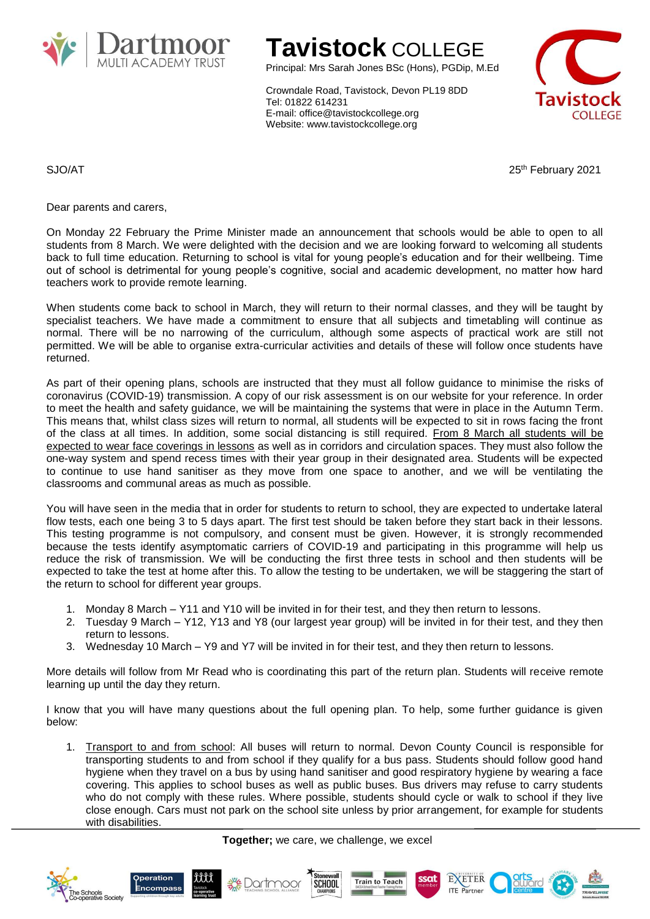

## **Tavistock** COLLEGE

Principal: Mrs Sarah Jones BSc (Hons), PGDip, M.Ed

Crowndale Road, Tavistock, Devon PL19 8DD Tel: 01822 614231 E-mail: office@tavistockcollege.org Website: www.tavistockcollege.org



SJO/AT 25<sup>th</sup> February 2021

Dear parents and carers,

On Monday 22 February the Prime Minister made an announcement that schools would be able to open to all students from 8 March. We were delighted with the decision and we are looking forward to welcoming all students back to full time education. Returning to school is vital for young people's education and for their wellbeing. Time out of school is detrimental for young people's cognitive, social and academic development, no matter how hard teachers work to provide remote learning.

When students come back to school in March, they will return to their normal classes, and they will be taught by specialist teachers. We have made a commitment to ensure that all subjects and timetabling will continue as normal. There will be no narrowing of the curriculum, although some aspects of practical work are still not permitted. We will be able to organise extra-curricular activities and details of these will follow once students have returned.

As part of their opening plans, schools are instructed that they must all follow guidance to minimise the risks of coronavirus (COVID-19) transmission. A copy of our risk assessment is on our website for your reference. In order to meet the health and safety guidance, we will be maintaining the systems that were in place in the Autumn Term. This means that, whilst class sizes will return to normal, all students will be expected to sit in rows facing the front of the class at all times. In addition, some social distancing is still required. From 8 March all students will be expected to wear face coverings in lessons as well as in corridors and circulation spaces. They must also follow the one-way system and spend recess times with their year group in their designated area. Students will be expected to continue to use hand sanitiser as they move from one space to another, and we will be ventilating the classrooms and communal areas as much as possible.

You will have seen in the media that in order for students to return to school, they are expected to undertake lateral flow tests, each one being 3 to 5 days apart. The first test should be taken before they start back in their lessons. This testing programme is not compulsory, and consent must be given. However, it is strongly recommended because the tests identify asymptomatic carriers of COVID-19 and participating in this programme will help us reduce the risk of transmission. We will be conducting the first three tests in school and then students will be expected to take the test at home after this. To allow the testing to be undertaken, we will be staggering the start of the return to school for different year groups.

- 1. Monday 8 March Y11 and Y10 will be invited in for their test, and they then return to lessons.
- 2. Tuesday 9 March Y12, Y13 and Y8 (our largest year group) will be invited in for their test, and they then return to lessons.
- 3. Wednesday 10 March Y9 and Y7 will be invited in for their test, and they then return to lessons.

More details will follow from Mr Read who is coordinating this part of the return plan. Students will receive remote learning up until the day they return.

I know that you will have many questions about the full opening plan. To help, some further guidance is given below:

1. Transport to and from school: All buses will return to normal. Devon County Council is responsible for transporting students to and from school if they qualify for a bus pass. Students should follow good hand hygiene when they travel on a bus by using hand sanitiser and good respiratory hygiene by wearing a face covering. This applies to school buses as well as public buses. Bus drivers may refuse to carry students who do not comply with these rules. Where possible, students should cycle or walk to school if they live close enough. Cars must not park on the school site unless by prior arrangement, for example for students with disabilities.

**Together;** we care, we challenge, we excel











EXETER

**ITE** Partner